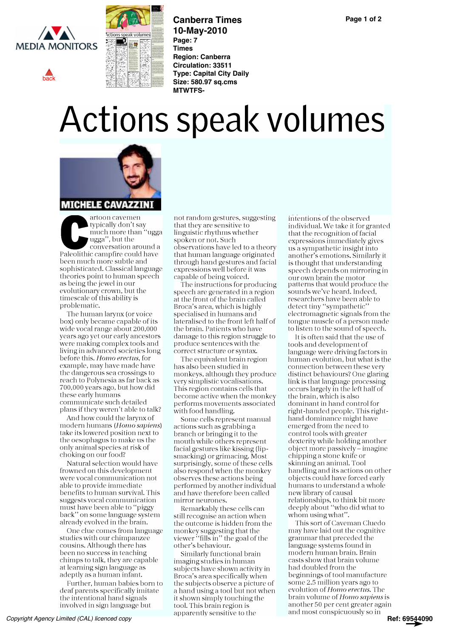

[back](#page-0-0)



**Canberra Times 10-May-2010 Page: 7 Times Region: Canberra Circulation: 33511 Type: Capital City Daily Size: 580.97 sq.cms MTWTFS-**

## Actions speak volumes

<span id="page-0-0"></span>

artoon cavemen typically don't say much more than "ugga ugga", but the conversation around a Paleolithic campfire could have been much more subtle and sophisticated. Classical language theories point to human speech as being the jewel in our evolutionary crown, but the timescale of this ability is problematic.

The human larynx (or voice box) only became capable of its wide vocal range about 200,000 years ago yet our early ancestors were making complex tools and living in advanced societies long before this. Homo erectus, for example, may have made have the dangerous sea crossings to reach to Polynesia as far back as 700,000 years ago, but how did these early humans communicate such detailed plans if they weren't able to talk?

And how could the larynx of modern humans (Homo sapiens) take its lowered position next to the oesophagus to make us the only animal species at risk of choking on our food?

Natural selection would have frowned on this development were vocal communication not able to provide immediate benefits to human survival. This suggests vocal communication must have been able to "piggy back" on some language system already evolved in the brain.

One clue comes from language studies with our chimpanzee cousins. Although there has been no success in teaching chimps to talk, they are capable at learning sign language as adeptly as a human infant.

Further, human babies born to deaf parents specifically imitate the intentional hand signals involved in sign language but

not random gestures, suggesting that they are sensitive to linguistic rhythms whether spoken or not. Such observations have led to a theory that human language originated through hand gestures and facial expressions well before it was capable of being voiced.

The instructions for producing speech are generated in a region at the front of the brain called Broca's area, which is highly specialised in humans and lateralised to the front left half of the brain. Patients who have damage to this region struggle to produce sentences with the correct structure or syntax.

The equivalent brain region has also been studied in monkeys, although they produce very simplistic vocalisations. This region contains cells that become active when the monkey performs movements associated with food handling.

Some cells represent manual actions such as grabbing a branch or bringing it to the mouth while others represent facial gestures like kissing (lipsmacking) or grimacing. Most surprisingly, some of these cells also respond when the monkey observes these actions being performed by another individual and have therefore been called mirror neurones.

Remarkably these cells can still recognise an action when the outcome is hidden from the monkey suggesting that the viewer "fills in" the goal of the other's behaviour.

Similarly functional brain imaging studies in human subjects have shown activity in Broca's area specifically when the subjects observe a picture of a hand using a tool but not when it shown simply touching the tool. This brain region is apparently sensitive to the

intentions of the observed individual. We take it for granted that the recognition of facial expressions immediately gives us a sympathetic insight into another's emotions. Similarly it is thought that understanding speech depends on mirroring in our own brain the motor patterns that would produce the sounds we've heard. Indeed, researchers have been able to detect tiny "sympathetic" electromagnetic signals from the tongue muscle of a person made to listen to the sound of speech.

It is often said that the use of tools and development of language were driving factors in human evolution, but what is the connection between these very distinct behaviours? One glaring link is that language processing occurs largely in the left half of the brain, which is also dominant in hand control for right-handed people. This righthand dominance might have emerged from the need to control tools with greater dexterity while holding another object more passively- imagine chipping a stone knife or skinning an animal. Tool handling and its actions on other objects could have forced early humans to understand a whole new library of causal relationships, to think bit more deeply about "who did what to whom using what".

This sort of Caveman Cluedo may have laid out the cognitive grammar that preceded the language systems found in modern human brain. Brain casts show that brain volume had doubled from the beginnings of tool manufacture some 2.5 million years ago to evolution of Homo erectus. The brain volume of Homo sapiens is another 50 per cent greater again and most conspicuously so in